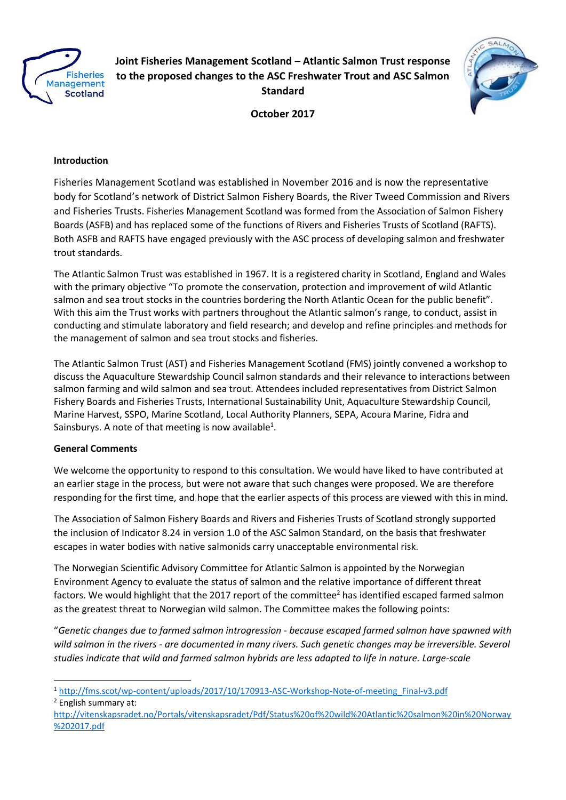

**Joint Fisheries Management Scotland – Atlantic Salmon Trust response to the proposed changes to the ASC Freshwater Trout and ASC Salmon Standard**



**October 2017**

# **Introduction**

Fisheries Management Scotland was established in November 2016 and is now the representative body for Scotland's network of District Salmon Fishery Boards, the River Tweed Commission and Rivers and Fisheries Trusts. Fisheries Management Scotland was formed from the Association of Salmon Fishery Boards (ASFB) and has replaced some of the functions of Rivers and Fisheries Trusts of Scotland (RAFTS). Both ASFB and RAFTS have engaged previously with the ASC process of developing salmon and freshwater trout standards.

The Atlantic Salmon Trust was established in 1967. It is a registered charity in Scotland, England and Wales with the primary objective "To promote the conservation, protection and improvement of wild Atlantic salmon and sea trout stocks in the countries bordering the North Atlantic Ocean for the public benefit". With this aim the Trust works with partners throughout the Atlantic salmon's range, to conduct, assist in conducting and stimulate laboratory and field research; and develop and refine principles and methods for the management of salmon and sea trout stocks and fisheries.

The Atlantic Salmon Trust (AST) and Fisheries Management Scotland (FMS) jointly convened a workshop to discuss the Aquaculture Stewardship Council salmon standards and their relevance to interactions between salmon farming and wild salmon and sea trout. Attendees included representatives from District Salmon Fishery Boards and Fisheries Trusts, International Sustainability Unit, Aquaculture Stewardship Council, Marine Harvest, SSPO, Marine Scotland, Local Authority Planners, SEPA, Acoura Marine, Fidra and Sainsburys. A note of that meeting is now available<sup>1</sup>.

## **General Comments**

We welcome the opportunity to respond to this consultation. We would have liked to have contributed at an earlier stage in the process, but were not aware that such changes were proposed. We are therefore responding for the first time, and hope that the earlier aspects of this process are viewed with this in mind.

The Association of Salmon Fishery Boards and Rivers and Fisheries Trusts of Scotland strongly supported the inclusion of Indicator 8.24 in version 1.0 of the ASC Salmon Standard, on the basis that freshwater escapes in water bodies with native salmonids carry unacceptable environmental risk.

The Norwegian Scientific Advisory Committee for Atlantic Salmon is appointed by the Norwegian Environment Agency to evaluate the status of salmon and the relative importance of different threat factors. We would highlight that the 2017 report of the committee<sup>2</sup> has identified escaped farmed salmon as the greatest threat to Norwegian wild salmon. The Committee makes the following points:

"*Genetic changes due to farmed salmon introgression - because escaped farmed salmon have spawned with wild salmon in the rivers - are documented in many rivers. Such genetic changes may be irreversible. Several studies indicate that wild and farmed salmon hybrids are less adapted to life in nature. Large-scale* 

1

<sup>1</sup> [http://fms.scot/wp-content/uploads/2017/10/170913-ASC-Workshop-Note-of-meeting\\_Final-v3.pdf](http://fms.scot/wp-content/uploads/2017/10/170913-ASC-Workshop-Note-of-meeting_Final-v3.pdf)

<sup>2</sup> English summary at: [http://vitenskapsradet.no/Portals/vitenskapsradet/Pdf/Status%20of%20wild%20Atlantic%20salmon%20in%20Norway](http://vitenskapsradet.no/Portals/vitenskapsradet/Pdf/Status%20of%20wild%20Atlantic%20salmon%20in%20Norway%202017.pdf)

[<sup>%202017.</sup>pdf](http://vitenskapsradet.no/Portals/vitenskapsradet/Pdf/Status%20of%20wild%20Atlantic%20salmon%20in%20Norway%202017.pdf)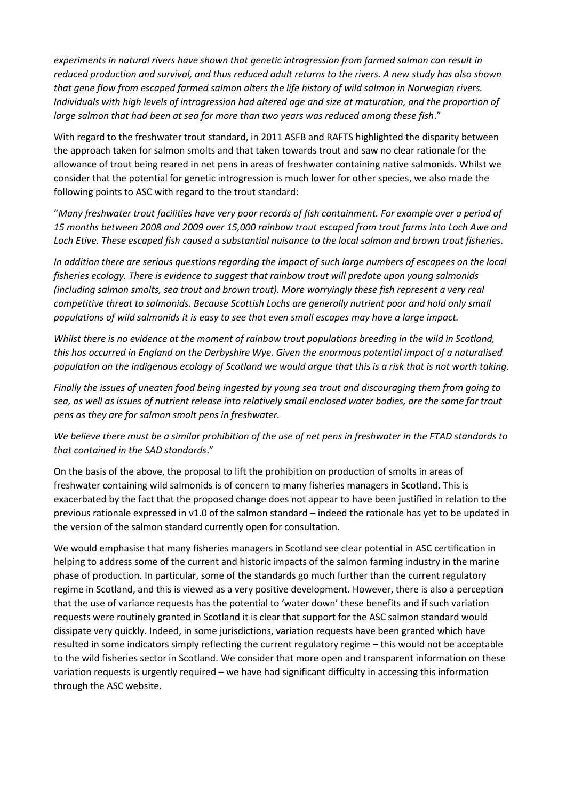*experiments in natural rivers have shown that genetic introgression from farmed salmon can result in reduced production and survival, and thus reduced adult returns to the rivers. A new study has also shown that gene flow from escaped farmed salmon alters the life history of wild salmon in Norwegian rivers. Individuals with high levels of introgression had altered age and size at maturation, and the proportion of large salmon that had been at sea for more than two years was reduced among these fish*."

With regard to the freshwater trout standard, in 2011 ASFB and RAFTS highlighted the disparity between the approach taken for salmon smolts and that taken towards trout and saw no clear rationale for the allowance of trout being reared in net pens in areas of freshwater containing native salmonids. Whilst we consider that the potential for genetic introgression is much lower for other species, we also made the following points to ASC with regard to the trout standard:

"*Many freshwater trout facilities have very poor records of fish containment. For example over a period of 15 months between 2008 and 2009 over 15,000 rainbow trout escaped from trout farms into Loch Awe and Loch Etive. These escaped fish caused a substantial nuisance to the local salmon and brown trout fisheries.* 

*In addition there are serious questions regarding the impact of such large numbers of escapees on the local fisheries ecology. There is evidence to suggest that rainbow trout will predate upon young salmonids (including salmon smolts, sea trout and brown trout). More worryingly these fish represent a very real competitive threat to salmonids. Because Scottish Lochs are generally nutrient poor and hold only small populations of wild salmonids it is easy to see that even small escapes may have a large impact.* 

*Whilst there is no evidence at the moment of rainbow trout populations breeding in the wild in Scotland, this has occurred in England on the Derbyshire Wye. Given the enormous potential impact of a naturalised population on the indigenous ecology of Scotland we would argue that this is a risk that is not worth taking.*

*Finally the issues of uneaten food being ingested by young sea trout and discouraging them from going to sea, as well as issues of nutrient release into relatively small enclosed water bodies, are the same for trout pens as they are for salmon smolt pens in freshwater.* 

*We believe there must be a similar prohibition of the use of net pens in freshwater in the FTAD standards to that contained in the SAD standards*."

On the basis of the above, the proposal to lift the prohibition on production of smolts in areas of freshwater containing wild salmonids is of concern to many fisheries managers in Scotland. This is exacerbated by the fact that the proposed change does not appear to have been justified in relation to the previous rationale expressed in v1.0 of the salmon standard – indeed the rationale has yet to be updated in the version of the salmon standard currently open for consultation.

We would emphasise that many fisheries managers in Scotland see clear potential in ASC certification in helping to address some of the current and historic impacts of the salmon farming industry in the marine phase of production. In particular, some of the standards go much further than the current regulatory regime in Scotland, and this is viewed as a very positive development. However, there is also a perception that the use of variance requests has the potential to 'water down' these benefits and if such variation requests were routinely granted in Scotland it is clear that support for the ASC salmon standard would dissipate very quickly. Indeed, in some jurisdictions, variation requests have been granted which have resulted in some indicators simply reflecting the current regulatory regime – this would not be acceptable to the wild fisheries sector in Scotland. We consider that more open and transparent information on these variation requests is urgently required – we have had significant difficulty in accessing this information through the ASC website.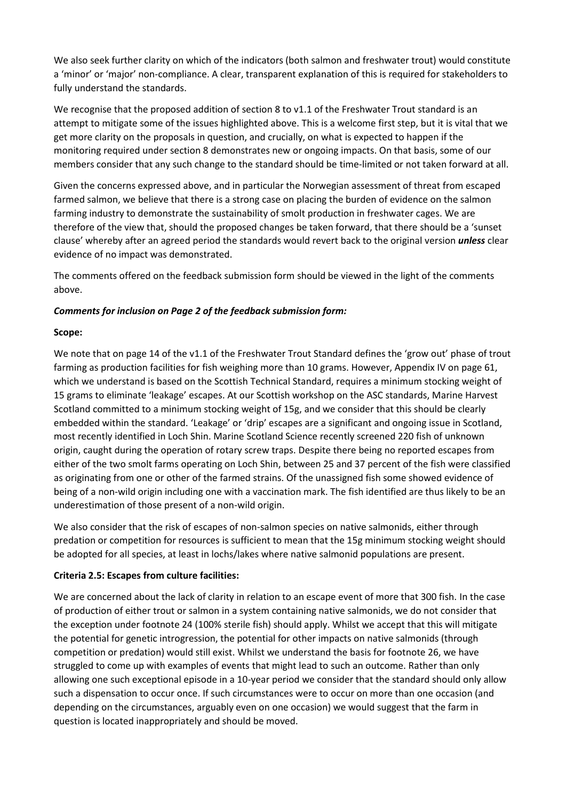We also seek further clarity on which of the indicators (both salmon and freshwater trout) would constitute a 'minor' or 'major' non-compliance. A clear, transparent explanation of this is required for stakeholders to fully understand the standards.

We recognise that the proposed addition of section 8 to v1.1 of the Freshwater Trout standard is an attempt to mitigate some of the issues highlighted above. This is a welcome first step, but it is vital that we get more clarity on the proposals in question, and crucially, on what is expected to happen if the monitoring required under section 8 demonstrates new or ongoing impacts. On that basis, some of our members consider that any such change to the standard should be time-limited or not taken forward at all.

Given the concerns expressed above, and in particular the Norwegian assessment of threat from escaped farmed salmon, we believe that there is a strong case on placing the burden of evidence on the salmon farming industry to demonstrate the sustainability of smolt production in freshwater cages. We are therefore of the view that, should the proposed changes be taken forward, that there should be a 'sunset clause' whereby after an agreed period the standards would revert back to the original version *unless* clear evidence of no impact was demonstrated.

The comments offered on the feedback submission form should be viewed in the light of the comments above.

## *Comments for inclusion on Page 2 of the feedback submission form:*

### **Scope:**

We note that on page 14 of the v1.1 of the Freshwater Trout Standard defines the 'grow out' phase of trout farming as production facilities for fish weighing more than 10 grams. However, Appendix IV on page 61, which we understand is based on the Scottish Technical Standard, requires a minimum stocking weight of 15 grams to eliminate 'leakage' escapes. At our Scottish workshop on the ASC standards, Marine Harvest Scotland committed to a minimum stocking weight of 15g, and we consider that this should be clearly embedded within the standard. 'Leakage' or 'drip' escapes are a significant and ongoing issue in Scotland, most recently identified in Loch Shin. Marine Scotland Science recently screened 220 fish of unknown origin, caught during the operation of rotary screw traps. Despite there being no reported escapes from either of the two smolt farms operating on Loch Shin, between 25 and 37 percent of the fish were classified as originating from one or other of the farmed strains. Of the unassigned fish some showed evidence of being of a non-wild origin including one with a vaccination mark. The fish identified are thus likely to be an underestimation of those present of a non-wild origin.

We also consider that the risk of escapes of non-salmon species on native salmonids, either through predation or competition for resources is sufficient to mean that the 15g minimum stocking weight should be adopted for all species, at least in lochs/lakes where native salmonid populations are present.

### **Criteria 2.5: Escapes from culture facilities:**

We are concerned about the lack of clarity in relation to an escape event of more that 300 fish. In the case of production of either trout or salmon in a system containing native salmonids, we do not consider that the exception under footnote 24 (100% sterile fish) should apply. Whilst we accept that this will mitigate the potential for genetic introgression, the potential for other impacts on native salmonids (through competition or predation) would still exist. Whilst we understand the basis for footnote 26, we have struggled to come up with examples of events that might lead to such an outcome. Rather than only allowing one such exceptional episode in a 10-year period we consider that the standard should only allow such a dispensation to occur once. If such circumstances were to occur on more than one occasion (and depending on the circumstances, arguably even on one occasion) we would suggest that the farm in question is located inappropriately and should be moved.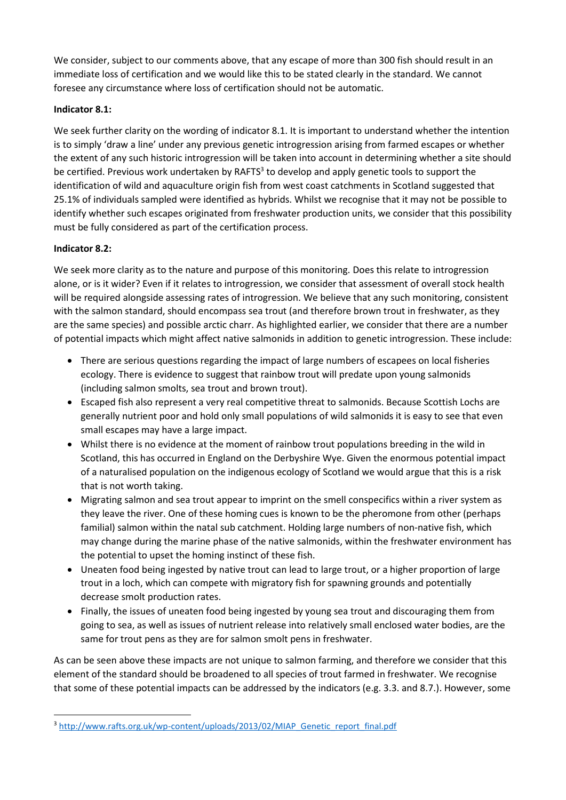We consider, subject to our comments above, that any escape of more than 300 fish should result in an immediate loss of certification and we would like this to be stated clearly in the standard. We cannot foresee any circumstance where loss of certification should not be automatic.

## **Indicator 8.1:**

We seek further clarity on the wording of indicator 8.1. It is important to understand whether the intention is to simply 'draw a line' under any previous genetic introgression arising from farmed escapes or whether the extent of any such historic introgression will be taken into account in determining whether a site should be certified. Previous work undertaken by RAFTS<sup>3</sup> to develop and apply genetic tools to support the identification of wild and aquaculture origin fish from west coast catchments in Scotland suggested that 25.1% of individuals sampled were identified as hybrids. Whilst we recognise that it may not be possible to identify whether such escapes originated from freshwater production units, we consider that this possibility must be fully considered as part of the certification process.

## **Indicator 8.2:**

**.** 

We seek more clarity as to the nature and purpose of this monitoring. Does this relate to introgression alone, or is it wider? Even if it relates to introgression, we consider that assessment of overall stock health will be required alongside assessing rates of introgression. We believe that any such monitoring, consistent with the salmon standard, should encompass sea trout (and therefore brown trout in freshwater, as they are the same species) and possible arctic charr. As highlighted earlier, we consider that there are a number of potential impacts which might affect native salmonids in addition to genetic introgression. These include:

- There are serious questions regarding the impact of large numbers of escapees on local fisheries ecology. There is evidence to suggest that rainbow trout will predate upon young salmonids (including salmon smolts, sea trout and brown trout).
- Escaped fish also represent a very real competitive threat to salmonids. Because Scottish Lochs are generally nutrient poor and hold only small populations of wild salmonids it is easy to see that even small escapes may have a large impact.
- Whilst there is no evidence at the moment of rainbow trout populations breeding in the wild in Scotland, this has occurred in England on the Derbyshire Wye. Given the enormous potential impact of a naturalised population on the indigenous ecology of Scotland we would argue that this is a risk that is not worth taking.
- Migrating salmon and sea trout appear to imprint on the smell conspecifics within a river system as they leave the river. One of these homing cues is known to be the pheromone from other (perhaps familial) salmon within the natal sub catchment. Holding large numbers of non-native fish, which may change during the marine phase of the native salmonids, within the freshwater environment has the potential to upset the homing instinct of these fish.
- Uneaten food being ingested by native trout can lead to large trout, or a higher proportion of large trout in a loch, which can compete with migratory fish for spawning grounds and potentially decrease smolt production rates.
- Finally, the issues of uneaten food being ingested by young sea trout and discouraging them from going to sea, as well as issues of nutrient release into relatively small enclosed water bodies, are the same for trout pens as they are for salmon smolt pens in freshwater.

As can be seen above these impacts are not unique to salmon farming, and therefore we consider that this element of the standard should be broadened to all species of trout farmed in freshwater. We recognise that some of these potential impacts can be addressed by the indicators (e.g. 3.3. and 8.7.). However, some

<sup>3</sup> [http://www.rafts.org.uk/wp-content/uploads/2013/02/MIAP\\_Genetic\\_report\\_final.pdf](http://www.rafts.org.uk/wp-content/uploads/2013/02/MIAP_Genetic_report_final.pdf)